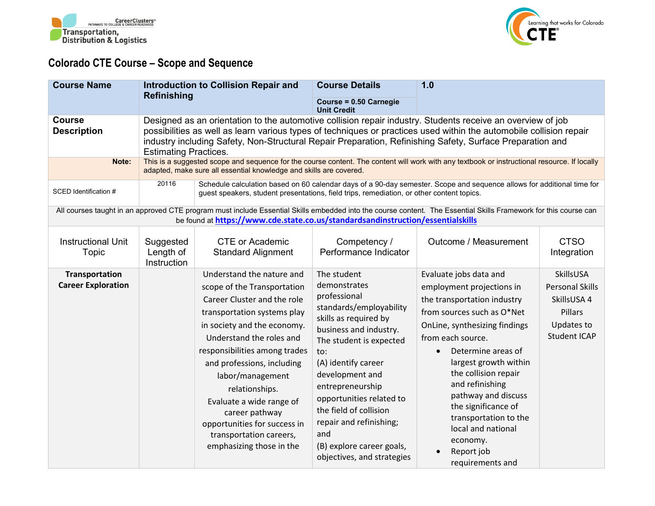



## **Colorado CTE Course – Scope and Sequence**

| <b>Course Name</b>                                 |                                                                                                                                                                                                                                                                                                                                                                                 | <b>Introduction to Collision Repair and</b>                                                                                                                                                                                                                                                                                                                                                                                 | <b>Course Details</b>                                                                                                                                                                                                                                                                                                                                                        | 1.0                                                                                                                                                                                                                                                                                                                                                                                                                      |                                                                                                    |
|----------------------------------------------------|---------------------------------------------------------------------------------------------------------------------------------------------------------------------------------------------------------------------------------------------------------------------------------------------------------------------------------------------------------------------------------|-----------------------------------------------------------------------------------------------------------------------------------------------------------------------------------------------------------------------------------------------------------------------------------------------------------------------------------------------------------------------------------------------------------------------------|------------------------------------------------------------------------------------------------------------------------------------------------------------------------------------------------------------------------------------------------------------------------------------------------------------------------------------------------------------------------------|--------------------------------------------------------------------------------------------------------------------------------------------------------------------------------------------------------------------------------------------------------------------------------------------------------------------------------------------------------------------------------------------------------------------------|----------------------------------------------------------------------------------------------------|
|                                                    | <b>Refinishing</b>                                                                                                                                                                                                                                                                                                                                                              |                                                                                                                                                                                                                                                                                                                                                                                                                             | Course = 0.50 Carnegie<br><b>Unit Credit</b>                                                                                                                                                                                                                                                                                                                                 |                                                                                                                                                                                                                                                                                                                                                                                                                          |                                                                                                    |
| <b>Course</b><br><b>Description</b>                | Designed as an orientation to the automotive collision repair industry. Students receive an overview of job<br>possibilities as well as learn various types of techniques or practices used within the automobile collision repair<br>industry including Safety, Non-Structural Repair Preparation, Refinishing Safety, Surface Preparation and<br><b>Estimating Practices.</b> |                                                                                                                                                                                                                                                                                                                                                                                                                             |                                                                                                                                                                                                                                                                                                                                                                              |                                                                                                                                                                                                                                                                                                                                                                                                                          |                                                                                                    |
| Note:                                              |                                                                                                                                                                                                                                                                                                                                                                                 | adapted, make sure all essential knowledge and skills are covered.                                                                                                                                                                                                                                                                                                                                                          |                                                                                                                                                                                                                                                                                                                                                                              | This is a suggested scope and sequence for the course content. The content will work with any textbook or instructional resource. If locally                                                                                                                                                                                                                                                                             |                                                                                                    |
| SCED Identification #                              | 20116                                                                                                                                                                                                                                                                                                                                                                           | guest speakers, student presentations, field trips, remediation, or other content topics.                                                                                                                                                                                                                                                                                                                                   |                                                                                                                                                                                                                                                                                                                                                                              | Schedule calculation based on 60 calendar days of a 90-day semester. Scope and sequence allows for additional time for                                                                                                                                                                                                                                                                                                   |                                                                                                    |
|                                                    |                                                                                                                                                                                                                                                                                                                                                                                 | be found at https://www.cde.state.co.us/standardsandinstruction/essentialskills                                                                                                                                                                                                                                                                                                                                             |                                                                                                                                                                                                                                                                                                                                                                              | All courses taught in an approved CTE program must include Essential Skills embedded into the course content. The Essential Skills Framework for this course can                                                                                                                                                                                                                                                         |                                                                                                    |
| <b>Instructional Unit</b><br>Topic                 | Suggested<br>Length of<br>Instruction                                                                                                                                                                                                                                                                                                                                           | <b>CTE or Academic</b><br><b>Standard Alignment</b>                                                                                                                                                                                                                                                                                                                                                                         | Competency /<br>Performance Indicator                                                                                                                                                                                                                                                                                                                                        | Outcome / Measurement                                                                                                                                                                                                                                                                                                                                                                                                    | <b>CTSO</b><br>Integration                                                                         |
| <b>Transportation</b><br><b>Career Exploration</b> |                                                                                                                                                                                                                                                                                                                                                                                 | Understand the nature and<br>scope of the Transportation<br>Career Cluster and the role<br>transportation systems play<br>in society and the economy.<br>Understand the roles and<br>responsibilities among trades<br>and professions, including<br>labor/management<br>relationships.<br>Evaluate a wide range of<br>career pathway<br>opportunities for success in<br>transportation careers,<br>emphasizing those in the | The student<br>demonstrates<br>professional<br>standards/employability<br>skills as required by<br>business and industry.<br>The student is expected<br>to:<br>(A) identify career<br>development and<br>entrepreneurship<br>opportunities related to<br>the field of collision<br>repair and refinishing;<br>and<br>(B) explore career goals,<br>objectives, and strategies | Evaluate jobs data and<br>employment projections in<br>the transportation industry<br>from sources such as O*Net<br>OnLine, synthesizing findings<br>from each source.<br>Determine areas of<br>$\bullet$<br>largest growth within<br>the collision repair<br>and refinishing<br>pathway and discuss<br>the significance of<br>transportation to the<br>local and national<br>economy.<br>Report job<br>requirements and | SkillsUSA<br><b>Personal Skills</b><br>SkillsUSA 4<br>Pillars<br>Updates to<br><b>Student ICAP</b> |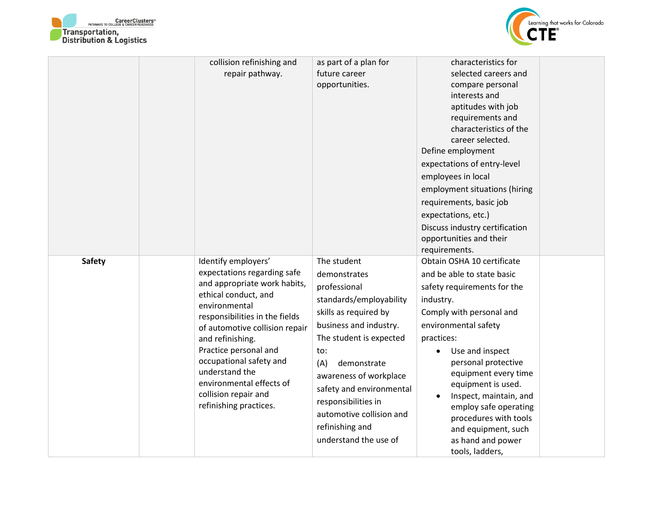



|               | collision refinishing and<br>repair pathway.                                                                                                                                                                                                                                                                                                                            | as part of a plan for<br>future career<br>opportunities.                                                                                                                                                                                                                                                                               | characteristics for<br>selected careers and<br>compare personal<br>interests and<br>aptitudes with job<br>requirements and<br>characteristics of the<br>career selected.<br>Define employment<br>expectations of entry-level<br>employees in local<br>employment situations (hiring<br>requirements, basic job<br>expectations, etc.)<br>Discuss industry certification<br>opportunities and their<br>requirements. |
|---------------|-------------------------------------------------------------------------------------------------------------------------------------------------------------------------------------------------------------------------------------------------------------------------------------------------------------------------------------------------------------------------|----------------------------------------------------------------------------------------------------------------------------------------------------------------------------------------------------------------------------------------------------------------------------------------------------------------------------------------|---------------------------------------------------------------------------------------------------------------------------------------------------------------------------------------------------------------------------------------------------------------------------------------------------------------------------------------------------------------------------------------------------------------------|
| <b>Safety</b> | Identify employers'<br>expectations regarding safe<br>and appropriate work habits,<br>ethical conduct, and<br>environmental<br>responsibilities in the fields<br>of automotive collision repair<br>and refinishing.<br>Practice personal and<br>occupational safety and<br>understand the<br>environmental effects of<br>collision repair and<br>refinishing practices. | The student<br>demonstrates<br>professional<br>standards/employability<br>skills as required by<br>business and industry.<br>The student is expected<br>to:<br>(A)<br>demonstrate<br>awareness of workplace<br>safety and environmental<br>responsibilities in<br>automotive collision and<br>refinishing and<br>understand the use of | Obtain OSHA 10 certificate<br>and be able to state basic<br>safety requirements for the<br>industry.<br>Comply with personal and<br>environmental safety<br>practices:<br>Use and inspect<br>personal protective<br>equipment every time<br>equipment is used.<br>Inspect, maintain, and<br>employ safe operating<br>procedures with tools<br>and equipment, such<br>as hand and power<br>tools, ladders,           |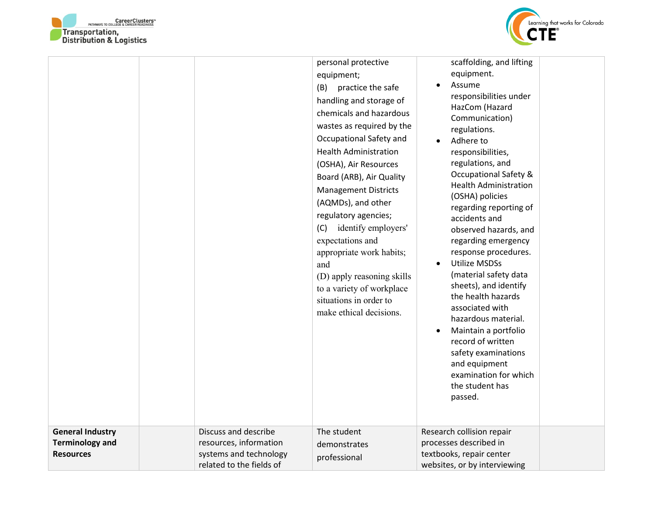



| <b>General Industry</b>                    | Discuss and describe                                                         | personal protective<br>equipment;<br>practice the safe<br>(B)<br>handling and storage of<br>chemicals and hazardous<br>wastes as required by the<br>Occupational Safety and<br><b>Health Administration</b><br>(OSHA), Air Resources<br>Board (ARB), Air Quality<br><b>Management Districts</b><br>(AQMDs), and other<br>regulatory agencies;<br>identify employers'<br>(C)<br>expectations and<br>appropriate work habits;<br>and<br>(D) apply reasoning skills<br>to a variety of workplace<br>situations in order to<br>make ethical decisions.<br>The student | scaffolding, and lifting<br>equipment.<br>Assume<br>responsibilities under<br>HazCom (Hazard<br>Communication)<br>regulations.<br>Adhere to<br>responsibilities,<br>regulations, and<br><b>Occupational Safety &amp;</b><br><b>Health Administration</b><br>(OSHA) policies<br>regarding reporting of<br>accidents and<br>observed hazards, and<br>regarding emergency<br>response procedures.<br><b>Utilize MSDSs</b><br>$\bullet$<br>(material safety data<br>sheets), and identify<br>the health hazards<br>associated with<br>hazardous material.<br>Maintain a portfolio<br>record of written<br>safety examinations<br>and equipment<br>examination for which<br>the student has<br>passed.<br>Research collision repair |
|--------------------------------------------|------------------------------------------------------------------------------|-------------------------------------------------------------------------------------------------------------------------------------------------------------------------------------------------------------------------------------------------------------------------------------------------------------------------------------------------------------------------------------------------------------------------------------------------------------------------------------------------------------------------------------------------------------------|--------------------------------------------------------------------------------------------------------------------------------------------------------------------------------------------------------------------------------------------------------------------------------------------------------------------------------------------------------------------------------------------------------------------------------------------------------------------------------------------------------------------------------------------------------------------------------------------------------------------------------------------------------------------------------------------------------------------------------|
| <b>Terminology and</b><br><b>Resources</b> | resources, information<br>systems and technology<br>related to the fields of | demonstrates<br>professional                                                                                                                                                                                                                                                                                                                                                                                                                                                                                                                                      | processes described in<br>textbooks, repair center<br>websites, or by interviewing                                                                                                                                                                                                                                                                                                                                                                                                                                                                                                                                                                                                                                             |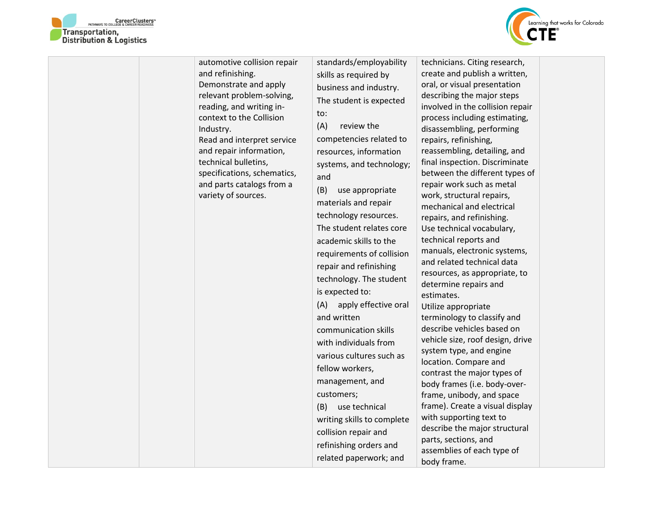



| automotive collision repair<br>and refinishing.<br>Demonstrate and apply<br>relevant problem-solving,<br>reading, and writing in-<br>context to the Collision<br>Industry.<br>Read and interpret service<br>and repair information,<br>technical bulletins,<br>specifications, schematics,<br>and parts catalogs from a<br>variety of sources. | standards/employability<br>skills as required by<br>business and industry.<br>The student is expected<br>to:<br>(A)<br>review the<br>competencies related to<br>resources, information<br>systems, and technology;<br>and<br>(B)<br>use appropriate<br>materials and repair<br>technology resources.<br>The student relates core<br>academic skills to the<br>requirements of collision<br>repair and refinishing<br>technology. The student<br>is expected to:<br>apply effective oral<br>(A)<br>and written<br>communication skills<br>with individuals from<br>various cultures such as<br>fellow workers,<br>management, and<br>customers;<br>(B)<br>use technical<br>writing skills to complete<br>collision repair and<br>refinishing orders and<br>related paperwork; and | technicians. Citing research,<br>create and publish a written,<br>oral, or visual presentation<br>describing the major steps<br>involved in the collision repair<br>process including estimating,<br>disassembling, performing<br>repairs, refinishing,<br>reassembling, detailing, and<br>final inspection. Discriminate<br>between the different types of<br>repair work such as metal<br>work, structural repairs,<br>mechanical and electrical<br>repairs, and refinishing.<br>Use technical vocabulary,<br>technical reports and<br>manuals, electronic systems,<br>and related technical data<br>resources, as appropriate, to<br>determine repairs and<br>estimates.<br>Utilize appropriate<br>terminology to classify and<br>describe vehicles based on<br>vehicle size, roof design, drive<br>system type, and engine<br>location. Compare and<br>contrast the major types of<br>body frames (i.e. body-over-<br>frame, unibody, and space<br>frame). Create a visual display<br>with supporting text to<br>describe the major structural<br>parts, sections, and<br>assemblies of each type of<br>body frame. |  |
|------------------------------------------------------------------------------------------------------------------------------------------------------------------------------------------------------------------------------------------------------------------------------------------------------------------------------------------------|----------------------------------------------------------------------------------------------------------------------------------------------------------------------------------------------------------------------------------------------------------------------------------------------------------------------------------------------------------------------------------------------------------------------------------------------------------------------------------------------------------------------------------------------------------------------------------------------------------------------------------------------------------------------------------------------------------------------------------------------------------------------------------|-------------------------------------------------------------------------------------------------------------------------------------------------------------------------------------------------------------------------------------------------------------------------------------------------------------------------------------------------------------------------------------------------------------------------------------------------------------------------------------------------------------------------------------------------------------------------------------------------------------------------------------------------------------------------------------------------------------------------------------------------------------------------------------------------------------------------------------------------------------------------------------------------------------------------------------------------------------------------------------------------------------------------------------------------------------------------------------------------------------------------|--|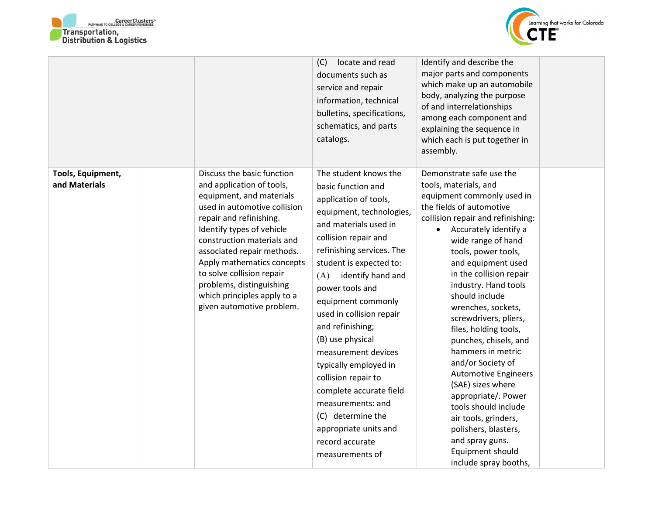



|                                    |                                                                                                                                                                                                                                                                                                                                                                                            | (C)<br>locate and read<br>documents such as<br>service and repair<br>information, technical<br>bulletins, specifications,<br>schematics, and parts<br>catalogs.                                                                                                                                                                                                                                                                                                                                                                                               | Identify and describe the<br>major parts and components<br>which make up an automobile<br>body, analyzing the purpose<br>of and interrelationships<br>among each component and<br>explaining the sequence in<br>which each is put together in<br>assembly.                                                                                                                                                                                                                                                                                                                                                                                                                                   |  |
|------------------------------------|--------------------------------------------------------------------------------------------------------------------------------------------------------------------------------------------------------------------------------------------------------------------------------------------------------------------------------------------------------------------------------------------|---------------------------------------------------------------------------------------------------------------------------------------------------------------------------------------------------------------------------------------------------------------------------------------------------------------------------------------------------------------------------------------------------------------------------------------------------------------------------------------------------------------------------------------------------------------|----------------------------------------------------------------------------------------------------------------------------------------------------------------------------------------------------------------------------------------------------------------------------------------------------------------------------------------------------------------------------------------------------------------------------------------------------------------------------------------------------------------------------------------------------------------------------------------------------------------------------------------------------------------------------------------------|--|
| Tools, Equipment,<br>and Materials | Discuss the basic function<br>and application of tools,<br>equipment, and materials<br>used in automotive collision<br>repair and refinishing.<br>Identify types of vehicle<br>construction materials and<br>associated repair methods.<br>Apply mathematics concepts<br>to solve collision repair<br>problems, distinguishing<br>which principles apply to a<br>given automotive problem. | The student knows the<br>basic function and<br>application of tools,<br>equipment, technologies,<br>and materials used in<br>collision repair and<br>refinishing services. The<br>student is expected to:<br>identify hand and<br>(A)<br>power tools and<br>equipment commonly<br>used in collision repair<br>and refinishing;<br>(B) use physical<br>measurement devices<br>typically employed in<br>collision repair to<br>complete accurate field<br>measurements: and<br>(C) determine the<br>appropriate units and<br>record accurate<br>measurements of | Demonstrate safe use the<br>tools, materials, and<br>equipment commonly used in<br>the fields of automotive<br>collision repair and refinishing:<br>Accurately identify a<br>$\bullet$<br>wide range of hand<br>tools, power tools,<br>and equipment used<br>in the collision repair<br>industry. Hand tools<br>should include<br>wrenches, sockets,<br>screwdrivers, pliers,<br>files, holding tools,<br>punches, chisels, and<br>hammers in metric<br>and/or Society of<br><b>Automotive Engineers</b><br>(SAE) sizes where<br>appropriate/. Power<br>tools should include<br>air tools, grinders,<br>polishers, blasters,<br>and spray guns.<br>Equipment should<br>include spray booths, |  |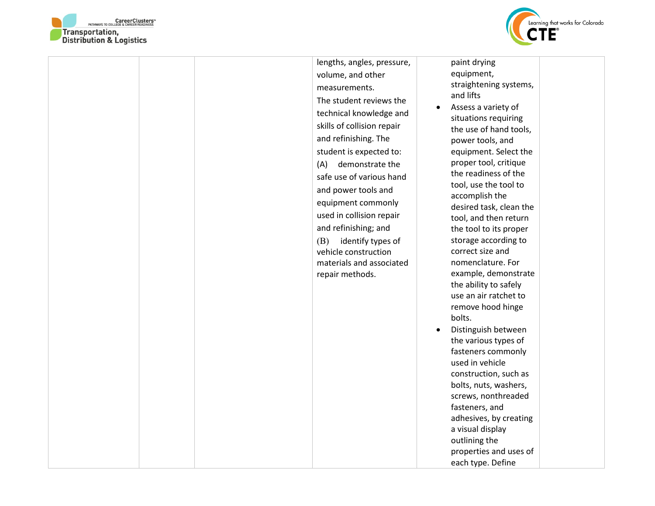



lengths, angles, pressure, volume, and other measurements. The student reviews the technical knowledge and skills of collision repair and refinishing. The student is expected to: (A) demonstrate the safe use of various hand and power tools and equipment commonly used in collision repair and refinishing; and (B) identify types of vehicle construction materials and associated repair methods.

paint drying equipment, straightening systems, and lifts

- Assess a variety of situations requiring the use of hand tools, power tools, and equipment. Select the proper tool, critique the readiness of the tool, use the tool to accomplish the desired task, clean the tool, and then return the tool to its proper storage according to correct size and nomenclature. For example, demonstrate the ability to safely use an air ratchet to remove hood hinge bolts. • Distinguish between
- the various types of fasteners commonly used in vehicle construction, such as bolts, nuts, washers, screws, nonthreaded fasteners, and adhesives, by creating a visual display outlining the properties and uses of each type. Define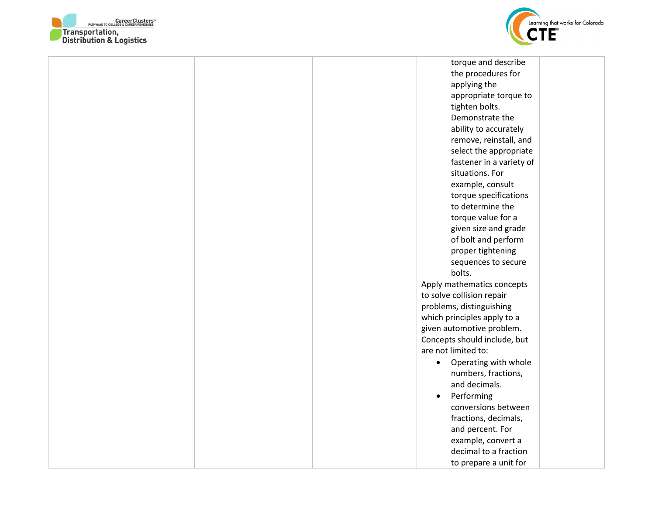



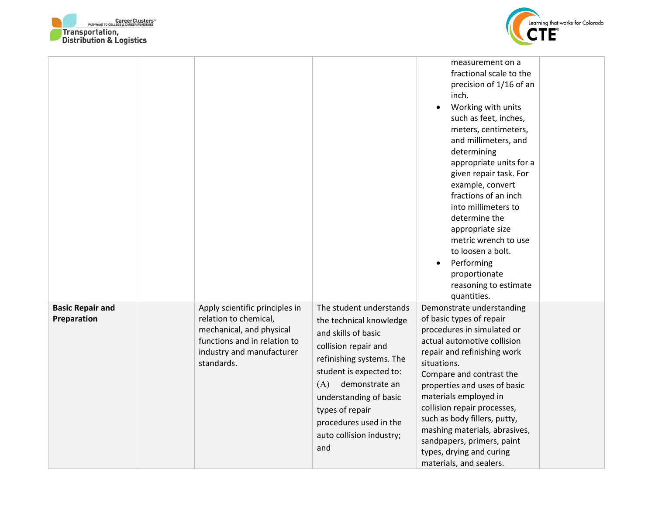



|                                        |                                                                                                                                                                |                                                                                                                                                                                                                                                                                             | measurement on a<br>fractional scale to the<br>precision of 1/16 of an<br>inch.<br>Working with units<br>such as feet, inches,<br>meters, centimeters,<br>and millimeters, and<br>determining<br>appropriate units for a<br>given repair task. For<br>example, convert<br>fractions of an inch<br>into millimeters to<br>determine the<br>appropriate size<br>metric wrench to use<br>to loosen a bolt.<br>Performing<br>$\bullet$<br>proportionate<br>reasoning to estimate<br>quantities. |  |
|----------------------------------------|----------------------------------------------------------------------------------------------------------------------------------------------------------------|---------------------------------------------------------------------------------------------------------------------------------------------------------------------------------------------------------------------------------------------------------------------------------------------|---------------------------------------------------------------------------------------------------------------------------------------------------------------------------------------------------------------------------------------------------------------------------------------------------------------------------------------------------------------------------------------------------------------------------------------------------------------------------------------------|--|
| <b>Basic Repair and</b><br>Preparation | Apply scientific principles in<br>relation to chemical,<br>mechanical, and physical<br>functions and in relation to<br>industry and manufacturer<br>standards. | The student understands<br>the technical knowledge<br>and skills of basic<br>collision repair and<br>refinishing systems. The<br>student is expected to:<br>demonstrate an<br>(A)<br>understanding of basic<br>types of repair<br>procedures used in the<br>auto collision industry;<br>and | Demonstrate understanding<br>of basic types of repair<br>procedures in simulated or<br>actual automotive collision<br>repair and refinishing work<br>situations.<br>Compare and contrast the<br>properties and uses of basic<br>materials employed in<br>collision repair processes,<br>such as body fillers, putty,<br>mashing materials, abrasives,<br>sandpapers, primers, paint<br>types, drying and curing<br>materials, and sealers.                                                  |  |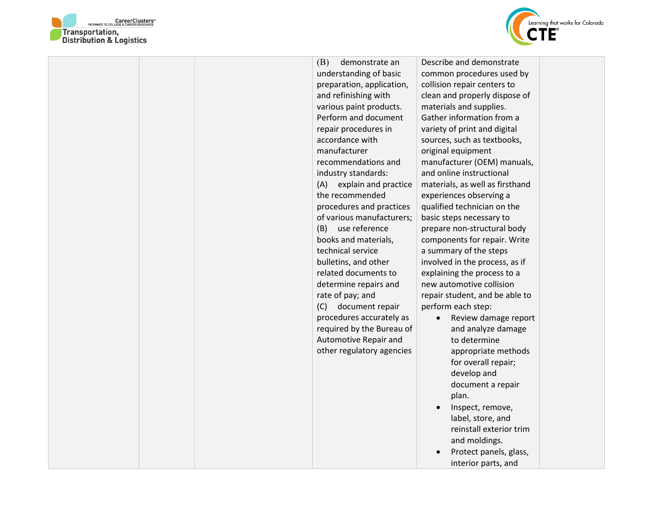



|  | (B)<br>demonstrate an       | Describe and demonstrate          |  |
|--|-----------------------------|-----------------------------------|--|
|  | understanding of basic      | common procedures used by         |  |
|  | preparation, application,   | collision repair centers to       |  |
|  | and refinishing with        | clean and properly dispose of     |  |
|  | various paint products.     | materials and supplies.           |  |
|  | Perform and document        | Gather information from a         |  |
|  | repair procedures in        | variety of print and digital      |  |
|  | accordance with             | sources, such as textbooks,       |  |
|  | manufacturer                | original equipment                |  |
|  | recommendations and         | manufacturer (OEM) manuals,       |  |
|  | industry standards:         | and online instructional          |  |
|  | explain and practice<br>(A) | materials, as well as firsthand   |  |
|  | the recommended             | experiences observing a           |  |
|  | procedures and practices    | qualified technician on the       |  |
|  | of various manufacturers;   | basic steps necessary to          |  |
|  | use reference<br>(B)        | prepare non-structural body       |  |
|  | books and materials,        | components for repair. Write      |  |
|  | technical service           | a summary of the steps            |  |
|  | bulletins, and other        | involved in the process, as if    |  |
|  | related documents to        | explaining the process to a       |  |
|  | determine repairs and       | new automotive collision          |  |
|  | rate of pay; and            | repair student, and be able to    |  |
|  | (C)<br>document repair      | perform each step:                |  |
|  | procedures accurately as    | Review damage report<br>$\bullet$ |  |
|  | required by the Bureau of   | and analyze damage                |  |
|  | Automotive Repair and       | to determine                      |  |
|  | other regulatory agencies   | appropriate methods               |  |
|  |                             | for overall repair;               |  |
|  |                             | develop and                       |  |
|  |                             | document a repair                 |  |
|  |                             | plan.                             |  |
|  |                             | Inspect, remove,                  |  |
|  |                             | label, store, and                 |  |
|  |                             | reinstall exterior trim           |  |
|  |                             | and moldings.                     |  |
|  |                             | Protect panels, glass,            |  |
|  |                             | interior parts, and               |  |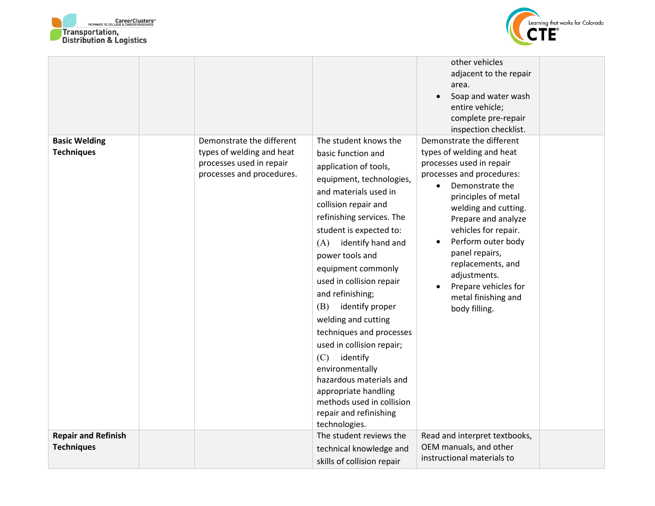



| <b>Basic Welding</b><br><b>Techniques</b> | Demonstrate the different<br>types of welding and heat | The student knows the<br>basic function and                                                                                                                                                                                                                                                                                                                                                                                                                                                                                                                | other vehicles<br>adjacent to the repair<br>area.<br>Soap and water wash<br>entire vehicle;<br>complete pre-repair<br>inspection checklist.<br>Demonstrate the different<br>types of welding and heat                                                                                                                                                      |  |
|-------------------------------------------|--------------------------------------------------------|------------------------------------------------------------------------------------------------------------------------------------------------------------------------------------------------------------------------------------------------------------------------------------------------------------------------------------------------------------------------------------------------------------------------------------------------------------------------------------------------------------------------------------------------------------|------------------------------------------------------------------------------------------------------------------------------------------------------------------------------------------------------------------------------------------------------------------------------------------------------------------------------------------------------------|--|
|                                           | processes used in repair<br>processes and procedures.  | application of tools,<br>equipment, technologies,<br>and materials used in<br>collision repair and<br>refinishing services. The<br>student is expected to:<br>(A)<br>identify hand and<br>power tools and<br>equipment commonly<br>used in collision repair<br>and refinishing;<br>(B)<br>identify proper<br>welding and cutting<br>techniques and processes<br>used in collision repair;<br>(C)<br>identify<br>environmentally<br>hazardous materials and<br>appropriate handling<br>methods used in collision<br>repair and refinishing<br>technologies. | processes used in repair<br>processes and procedures:<br>Demonstrate the<br>$\bullet$<br>principles of metal<br>welding and cutting.<br>Prepare and analyze<br>vehicles for repair.<br>Perform outer body<br>$\bullet$<br>panel repairs,<br>replacements, and<br>adjustments.<br>Prepare vehicles for<br>$\bullet$<br>metal finishing and<br>body filling. |  |
| <b>Repair and Refinish</b>                |                                                        | The student reviews the                                                                                                                                                                                                                                                                                                                                                                                                                                                                                                                                    | Read and interpret textbooks,                                                                                                                                                                                                                                                                                                                              |  |
| <b>Techniques</b>                         |                                                        | technical knowledge and<br>skills of collision repair                                                                                                                                                                                                                                                                                                                                                                                                                                                                                                      | OEM manuals, and other<br>instructional materials to                                                                                                                                                                                                                                                                                                       |  |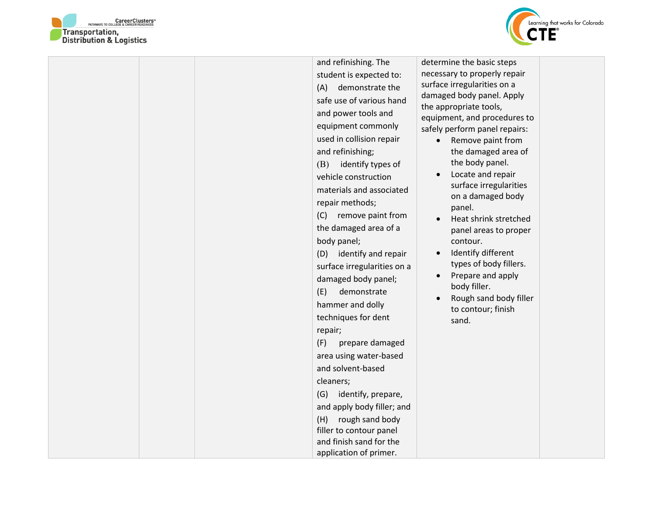



|  | and refinishing. The        | determine the basic steps                                     |
|--|-----------------------------|---------------------------------------------------------------|
|  | student is expected to:     | necessary to properly repair                                  |
|  | demonstrate the<br>(A)      | surface irregularities on a                                   |
|  | safe use of various hand    | damaged body panel. Apply                                     |
|  | and power tools and         | the appropriate tools,                                        |
|  | equipment commonly          | equipment, and procedures to<br>safely perform panel repairs: |
|  | used in collision repair    | Remove paint from                                             |
|  | and refinishing;            | the damaged area of                                           |
|  | (B)<br>identify types of    | the body panel.                                               |
|  | vehicle construction        | Locate and repair                                             |
|  | materials and associated    | surface irregularities                                        |
|  |                             | on a damaged body                                             |
|  | repair methods;             | panel.                                                        |
|  | (C)<br>remove paint from    | Heat shrink stretched                                         |
|  | the damaged area of a       | panel areas to proper                                         |
|  | body panel;                 | contour.                                                      |
|  | (D) identify and repair     | Identify different<br>$\bullet$                               |
|  | surface irregularities on a | types of body fillers.<br>Prepare and apply<br>$\bullet$      |
|  | damaged body panel;         | body filler.                                                  |
|  | (E)<br>demonstrate          | Rough sand body filler                                        |
|  | hammer and dolly            | to contour; finish                                            |
|  | techniques for dent         | sand.                                                         |
|  | repair;                     |                                                               |
|  | (F)<br>prepare damaged      |                                                               |
|  | area using water-based      |                                                               |
|  | and solvent-based           |                                                               |
|  | cleaners;                   |                                                               |
|  | (G)<br>identify, prepare,   |                                                               |
|  | and apply body filler; and  |                                                               |
|  | (H)<br>rough sand body      |                                                               |
|  | filler to contour panel     |                                                               |
|  | and finish sand for the     |                                                               |
|  | application of primer.      |                                                               |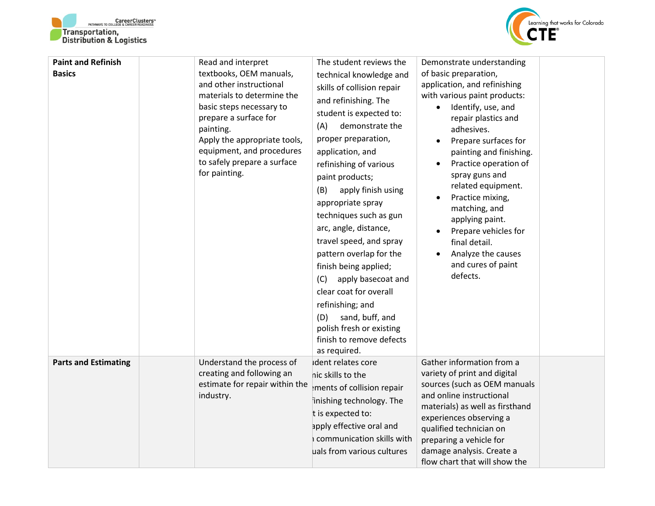



| <b>Paint and Refinish</b><br><b>Basics</b> | Read and interpret<br>textbooks, OEM manuals,<br>and other instructional<br>materials to determine the<br>basic steps necessary to<br>prepare a surface for<br>painting.<br>Apply the appropriate tools,<br>equipment, and procedures<br>to safely prepare a surface<br>for painting. | The student reviews the<br>technical knowledge and<br>skills of collision repair<br>and refinishing. The<br>student is expected to:<br>demonstrate the<br>(A)<br>proper preparation,<br>application, and<br>refinishing of various<br>paint products;<br>(B)<br>apply finish using<br>appropriate spray<br>techniques such as gun<br>arc, angle, distance,<br>travel speed, and spray<br>pattern overlap for the<br>finish being applied;<br>(C)<br>apply basecoat and<br>clear coat for overall<br>refinishing; and<br>sand, buff, and<br>(D)<br>polish fresh or existing<br>finish to remove defects<br>as required. | Demonstrate understanding<br>of basic preparation,<br>application, and refinishing<br>with various paint products:<br>Identify, use, and<br>$\bullet$<br>repair plastics and<br>adhesives.<br>Prepare surfaces for<br>$\bullet$<br>painting and finishing.<br>Practice operation of<br>spray guns and<br>related equipment.<br>Practice mixing,<br>matching, and<br>applying paint.<br>Prepare vehicles for<br>final detail.<br>Analyze the causes<br>and cures of paint<br>defects. |
|--------------------------------------------|---------------------------------------------------------------------------------------------------------------------------------------------------------------------------------------------------------------------------------------------------------------------------------------|------------------------------------------------------------------------------------------------------------------------------------------------------------------------------------------------------------------------------------------------------------------------------------------------------------------------------------------------------------------------------------------------------------------------------------------------------------------------------------------------------------------------------------------------------------------------------------------------------------------------|--------------------------------------------------------------------------------------------------------------------------------------------------------------------------------------------------------------------------------------------------------------------------------------------------------------------------------------------------------------------------------------------------------------------------------------------------------------------------------------|
| <b>Parts and Estimating</b>                | Understand the process of<br>creating and following an<br>estimate for repair within the<br>industry.                                                                                                                                                                                 | Ident relates core<br>nic skills to the<br>ments of collision repair<br>inishing technology. The<br>t is expected to:<br>apply effective oral and<br>communication skills with<br>uals from various cultures                                                                                                                                                                                                                                                                                                                                                                                                           | Gather information from a<br>variety of print and digital<br>sources (such as OEM manuals<br>and online instructional<br>materials) as well as firsthand<br>experiences observing a<br>qualified technician on<br>preparing a vehicle for<br>damage analysis. Create a<br>flow chart that will show the                                                                                                                                                                              |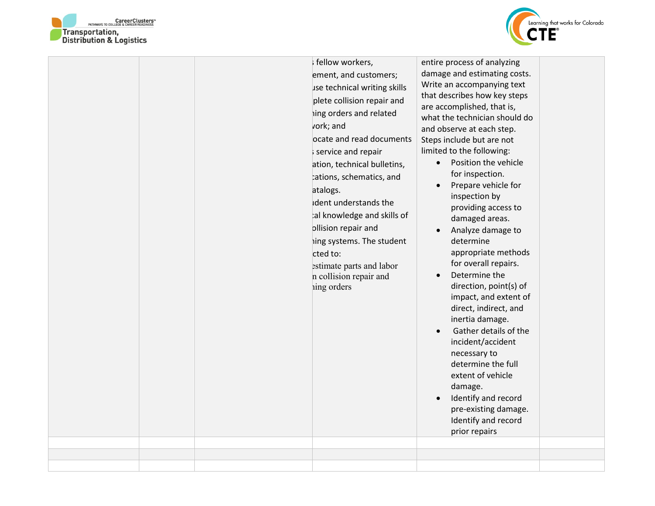



|  | fellow workers,<br>ement, and customers;<br>use technical writing skills<br>plete collision repair and<br>hing orders and related<br>vork; and<br>ocate and read documents<br>s service and repair<br>ation, technical bulletins,<br>cations, schematics, and<br>atalogs.<br>ident understands the<br>tal knowledge and skills of<br>ollision repair and<br>ing systems. The student<br>cted to:<br>estimate parts and labor<br>n collision repair and<br>ing orders | entire process of analyzing<br>damage and estimating costs.<br>Write an accompanying text<br>that describes how key steps<br>are accomplished, that is,<br>what the technician should do<br>and observe at each step.<br>Steps include but are not<br>limited to the following:<br>Position the vehicle<br>$\bullet$<br>for inspection.<br>Prepare vehicle for<br>$\bullet$<br>inspection by<br>providing access to<br>damaged areas.<br>Analyze damage to<br>$\bullet$<br>determine<br>appropriate methods<br>for overall repairs.<br>Determine the<br>$\bullet$<br>direction, point(s) of<br>impact, and extent of<br>direct, indirect, and<br>inertia damage.<br>Gather details of the<br>$\bullet$<br>incident/accident<br>necessary to<br>determine the full<br>extent of vehicle<br>damage.<br>Identify and record<br>$\bullet$<br>pre-existing damage.<br>Identify and record<br>prior repairs |  |
|--|----------------------------------------------------------------------------------------------------------------------------------------------------------------------------------------------------------------------------------------------------------------------------------------------------------------------------------------------------------------------------------------------------------------------------------------------------------------------|-------------------------------------------------------------------------------------------------------------------------------------------------------------------------------------------------------------------------------------------------------------------------------------------------------------------------------------------------------------------------------------------------------------------------------------------------------------------------------------------------------------------------------------------------------------------------------------------------------------------------------------------------------------------------------------------------------------------------------------------------------------------------------------------------------------------------------------------------------------------------------------------------------|--|
|  |                                                                                                                                                                                                                                                                                                                                                                                                                                                                      |                                                                                                                                                                                                                                                                                                                                                                                                                                                                                                                                                                                                                                                                                                                                                                                                                                                                                                       |  |
|  |                                                                                                                                                                                                                                                                                                                                                                                                                                                                      |                                                                                                                                                                                                                                                                                                                                                                                                                                                                                                                                                                                                                                                                                                                                                                                                                                                                                                       |  |
|  |                                                                                                                                                                                                                                                                                                                                                                                                                                                                      |                                                                                                                                                                                                                                                                                                                                                                                                                                                                                                                                                                                                                                                                                                                                                                                                                                                                                                       |  |